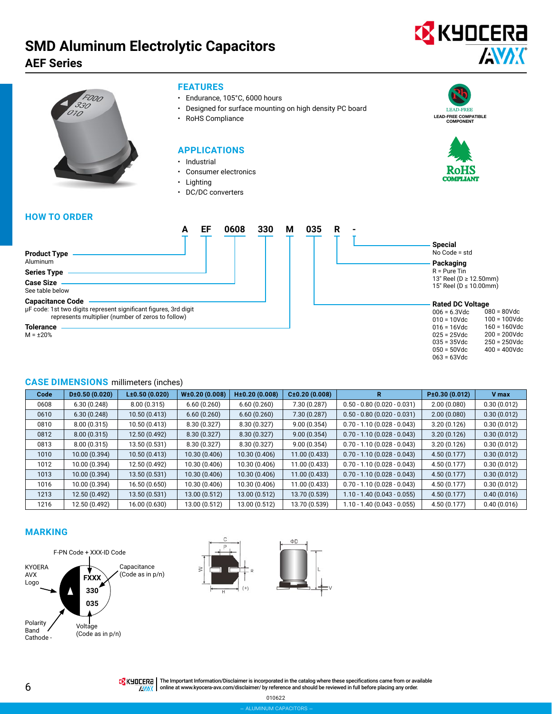# **SMD Aluminum Electrolytic Capacitors**

# **AEF Series**





#### **FEATURES**

- Endurance, 105°C, 6000 hours
- Designed for surface mounting on high density PC board
- RoHS Compliance

#### **APPLICATIONS**

- Industrial
- Consumer electronics
- Lighting
- DC/DC converters

# LEAD-FREE LEAD-FREE COMPATIBLE COMPONENT



035 = 35Vdc 050 = 50Vdc 063 = 63Vdc 250 = 250Vdc 400 = 400Vdc

### **HOW TO ORDER**



| 35<br>R | <b>Special</b><br>No Code = std<br>Packaging<br>$R = Pure$ Tin<br>13" Reel (D ≥ 12.50mm)<br>15" Reel (D ≤ 10.00mm) |                 |
|---------|--------------------------------------------------------------------------------------------------------------------|-----------------|
|         | <b>Rated DC Voltage</b>                                                                                            |                 |
|         | $006 = 6.3$ Vdc                                                                                                    | $080 = 80$ Vdc  |
|         | $010 = 10$ Vdc                                                                                                     | $100 = 100$ Vdc |
|         | $016 = 16$ Vdc                                                                                                     | $160 = 160$ Vdc |
|         | $025 = 25$ Vdc                                                                                                     | $200 = 200$ Vdc |

# **CASE DIMENSIONS** millimeters (inches)

| Code | D±0.50(0.020) | L±0.50(0.020) | W±0.20(0.008) | H±0.20(0.008) | C±0.20(0.008) |                               | P±0.30(0.012) | V max       |
|------|---------------|---------------|---------------|---------------|---------------|-------------------------------|---------------|-------------|
| 0608 | 6.30(0.248)   | 8.00(0.315)   | 6.60(0.260)   | 6.60(0.260)   | 7.30 (0.287)  | $0.50 - 0.80$ (0.020 - 0.031) | 2.00(0.080)   | 0.30(0.012) |
| 0610 | 6.30(0.248)   | 10.50 (0.413) | 6.60(0.260)   | 6.60(0.260)   | 7.30(0.287)   | $0.50 - 0.80$ (0.020 - 0.031) | 2.00(0.080)   | 0.30(0.012) |
| 0810 | 8.00(0.315)   | 10.50 (0.413) | 8.30 (0.327)  | 8.30 (0.327)  | 9.00(0.354)   | $0.70 - 1.10(0.028 - 0.043)$  | 3.20(0.126)   | 0.30(0.012) |
| 0812 | 8.00(0.315)   | 12.50 (0.492) | 8.30(0.327)   | 8.30(0.327)   | 9.00(0.354)   | $0.70 - 1.10(0.028 - 0.043)$  | 3.20(0.126)   | 0.30(0.012) |
| 0813 | 8.00(0.315)   | 13.50 (0.531) | 8.30 (0.327)  | 8.30 (0.327)  | 9.00(0.354)   | $0.70 - 1.10(0.028 - 0.043)$  | 3.20(0.126)   | 0.30(0.012) |
| 1010 | 10.00 (0.394) | 10.50 (0.413) | 10.30 (0.406) | 10.30 (0.406) | 11.00(0.433)  | $0.70 - 1.10(0.028 - 0.043)$  | 4.50(0.177)   | 0.30(0.012) |
| 1012 | 10.00 (0.394) | 12.50 (0.492) | 10.30 (0.406) | 10.30 (0.406) | 11.00 (0.433) | $0.70 - 1.10(0.028 - 0.043)$  | 4.50 (0.177)  | 0.30(0.012) |
| 1013 | 10.00 (0.394) | 13.50 (0.531) | 10.30 (0.406) | 10.30 (0.406) | 11.00 (0.433) | $0.70 - 1.10(0.028 - 0.043)$  | 4.50 (0.177)  | 0.30(0.012) |
| 1016 | 10.00 (0.394) | 16.50 (0.650) | 10.30 (0.406) | 10.30 (0.406) | 11.00 (0.433) | $0.70 - 1.10(0.028 - 0.043)$  | 4.50 (0.177)  | 0.30(0.012) |
| 1213 | 12.50 (0.492) | 13.50 (0.531) | 13.00 (0.512) | 13.00 (0.512) | 13.70 (0.539) | 1.10 - 1.40 (0.043 - 0.055)   | 4.50(0.177)   | 0.40(0.016) |
| 1216 | 12.50 (0.492) | 16.00 (0.630) | 13.00 (0.512) | 13.00 (0.512) | 13.70 (0.539) | 1.10 - 1.40 (0.043 - 0.055)   | 4.50 (0.177)  | 0.40(0.016) |

## **MARKING**







THE Important Information/Disclaimer is incorporated in the catalog where these specifications came from or available **AWAX** online at [www.kyocera-avx.com/disclaimer/](http://www.kyocera-avx.com/disclaimer/) by reference and should be reviewed in full before placing any order.

010622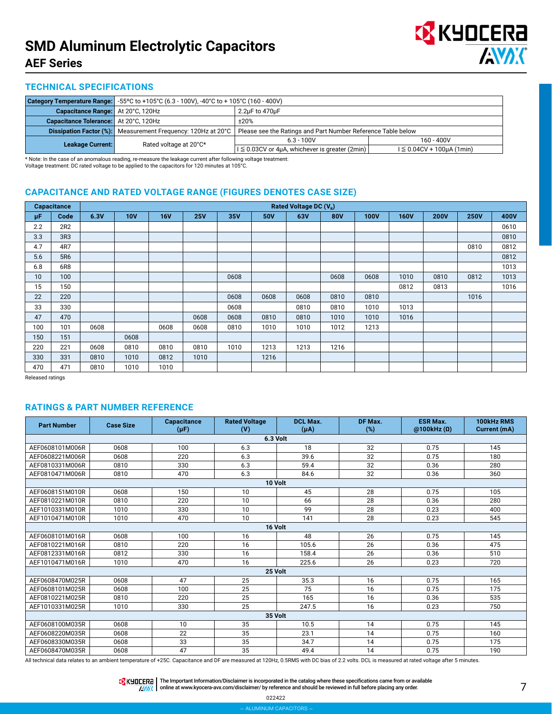

### **TECHNICAL SPECIFICATIONS**

|                                       |                                                                     | <b>Category Temperature Range:</b> $-55^{\circ}$ C to $+105^{\circ}$ C (6.3 - 100V), $-40^{\circ}$ C to $+105^{\circ}$ C (160 - 400V) |                                   |  |  |  |  |  |
|---------------------------------------|---------------------------------------------------------------------|---------------------------------------------------------------------------------------------------------------------------------------|-----------------------------------|--|--|--|--|--|
| Capacitance Range: At 20°C, 120Hz     | 2.2µF to 470µF                                                      |                                                                                                                                       |                                   |  |  |  |  |  |
| Capacitance Tolerance: At 20°C, 120Hz |                                                                     | ±20%                                                                                                                                  |                                   |  |  |  |  |  |
|                                       | <b>Dissipation Factor (%):</b> Measurement Frequency: 120Hz at 20°C | Please see the Ratings and Part Number Reference Table below                                                                          |                                   |  |  |  |  |  |
| Leakage Current:                      | Rated voltage at 20°C*                                              | $6.3 - 100V$                                                                                                                          | $160 - 400V$                      |  |  |  |  |  |
|                                       |                                                                     | $1 \leq 0.03$ CV or 4µA, whichever is greater (2min)                                                                                  | $1 \leq 0.04CV + 100\mu A (1min)$ |  |  |  |  |  |

\* Note: In the case of an anomalous reading, re-measure the leakage current after following voltage treatment: Voltage treatment: DC rated voltage to be applied to the capacitors for 120 minutes at 105°C.

## **CAPACITANCE AND RATED VOLTAGE RANGE (FIGURES DENOTES CASE SIZE)**

|     | Capacitance     | Rated Voltage DC (V <sub>R</sub> ) |            |            |            |      |            |      |            |             |             |             |             |      |
|-----|-----------------|------------------------------------|------------|------------|------------|------|------------|------|------------|-------------|-------------|-------------|-------------|------|
| μF  | Code            | 6.3V                               | <b>10V</b> | <b>16V</b> | <b>25V</b> | 35V  | <b>50V</b> | 63V  | <b>80V</b> | <b>100V</b> | <b>160V</b> | <b>200V</b> | <b>250V</b> | 400V |
| 2.2 | 2R2             |                                    |            |            |            |      |            |      |            |             |             |             |             | 0610 |
| 3.3 | 3R <sub>3</sub> |                                    |            |            |            |      |            |      |            |             |             |             |             | 0810 |
| 4.7 | 4R7             |                                    |            |            |            |      |            |      |            |             |             |             | 0810        | 0812 |
| 5.6 | 5R6             |                                    |            |            |            |      |            |      |            |             |             |             |             | 0812 |
| 6.8 | 6R8             |                                    |            |            |            |      |            |      |            |             |             |             |             | 1013 |
| 10  | 100             |                                    |            |            |            | 0608 |            |      | 0608       | 0608        | 1010        | 0810        | 0812        | 1013 |
| 15  | 150             |                                    |            |            |            |      |            |      |            |             | 0812        | 0813        |             | 1016 |
| 22  | 220             |                                    |            |            |            | 0608 | 0608       | 0608 | 0810       | 0810        |             |             | 1016        |      |
| 33  | 330             |                                    |            |            |            | 0608 |            | 0810 | 0810       | 1010        | 1013        |             |             |      |
| 47  | 470             |                                    |            |            | 0608       | 0608 | 0810       | 0810 | 1010       | 1010        | 1016        |             |             |      |
| 100 | 101             | 0608                               |            | 0608       | 0608       | 0810 | 1010       | 1010 | 1012       | 1213        |             |             |             |      |
| 150 | 151             |                                    | 0608       |            |            |      |            |      |            |             |             |             |             |      |
| 220 | 221             | 0608                               | 0810       | 0810       | 0810       | 1010 | 1213       | 1213 | 1216       |             |             |             |             |      |
| 330 | 331             | 0810                               | 1010       | 0812       | 1010       |      | 1216       |      |            |             |             |             |             |      |
| 470 | 471             | 0810                               | 1010       | 1010       |            |      |            |      |            |             |             |             |             |      |

Released ratings

## **RATINGS & PART NUMBER REFERENCE**

| <b>Part Number</b> | <b>Case Size</b> | Capacitance<br>$(\mu F)$                        | <b>Rated Voltage</b><br>(V) | <b>DCL Max.</b><br>$(\mu A)$                           | DF Max.<br>$(\%)$  | <b>ESR Max.</b><br>@100kHz(0) | 100kHz RMS<br>Current (mA) |  |  |  |  |
|--------------------|------------------|-------------------------------------------------|-----------------------------|--------------------------------------------------------|--------------------|-------------------------------|----------------------------|--|--|--|--|
|                    | 6.3 Volt         |                                                 |                             |                                                        |                    |                               |                            |  |  |  |  |
| AEF0608101M006R    | 0608             | 100                                             | 6.3                         | 18                                                     | 32                 | 0.75                          | 145                        |  |  |  |  |
| AEF0608221M006R    | 0608             | 220                                             | 6.3                         | 39.6                                                   | 32                 | 0.75                          | 180                        |  |  |  |  |
| AEF0810331M006R    | 0810             | 330                                             | 6.3                         | 59.4                                                   | 32                 | 0.36                          | 280                        |  |  |  |  |
| AEF0810471M006R    | 0810             | 470                                             | 6.3                         | 84.6                                                   | 32                 | 0.36                          | 360                        |  |  |  |  |
|                    |                  |                                                 | 10 Volt                     |                                                        |                    |                               |                            |  |  |  |  |
| AEF0608151M010R    | 0608             | 150                                             | 10                          | 45                                                     | 28                 | 0.75                          | 105                        |  |  |  |  |
| AEF0810221M010R    | 0810             | 220                                             | 10                          | 66                                                     | 28                 | 0.36                          | 280                        |  |  |  |  |
| AEF1010331M010R    | 1010             | 330                                             | 10                          | 99                                                     | 28                 | 0.23                          | 400                        |  |  |  |  |
| AEF1010471M010R    | 1010             | 470                                             | 10                          | 141                                                    | 28                 | 0.23                          | 545                        |  |  |  |  |
| 16 Volt            |                  |                                                 |                             |                                                        |                    |                               |                            |  |  |  |  |
| AEF0608101M016R    | 0608             | 100                                             | 16                          | 48                                                     | 26                 | 0.75                          | 145                        |  |  |  |  |
| AEF0810221M016R    | 0810             | 220                                             | 16                          | 105.6                                                  | 26                 | 0.36                          | 475                        |  |  |  |  |
| AEF0812331M016R    | 0812             | 330                                             | 16                          | 158.4                                                  | 26                 | 0.36                          | 510                        |  |  |  |  |
| AEF1010471M016R    | 1010             | 470                                             | 16                          | 225.6                                                  | 26                 | 0.23                          | 720                        |  |  |  |  |
|                    |                  |                                                 | 25 Volt                     |                                                        |                    |                               |                            |  |  |  |  |
| AEF0608470M025R    | 0608             | 47                                              | 25                          | 35.3                                                   | 16                 | 0.75                          | 165                        |  |  |  |  |
| AEF0608101M025R    | 0608             | 100                                             | 25                          | 75                                                     | 16                 | 0.75                          | 175                        |  |  |  |  |
| AEF0810221M025R    | 0810             | 220                                             | 25                          | 165                                                    | 16                 | 0.36                          | 535                        |  |  |  |  |
| AEF1010331M025R    | 1010             | 330                                             | 25                          | 247.5                                                  | 16                 | 0.23                          | 750                        |  |  |  |  |
|                    |                  |                                                 | 35 Volt                     |                                                        |                    |                               |                            |  |  |  |  |
| AEF0608100M035R    | 0608             | 10                                              | 35                          | 10.5                                                   | 14                 | 0.75                          | 145                        |  |  |  |  |
| AEF0608220M035R    | 0608             | 22                                              | 35                          | 23.1                                                   | 14                 | 0.75                          | 160                        |  |  |  |  |
| AEF0608330M035R    | 0608             | 33                                              | 35                          | 34.7                                                   | 14                 | 0.75                          | 175                        |  |  |  |  |
| AEF0608470M035R    | 0608             | 47<br>$\sim$ $\sim$ $\sim$ $\sim$ $\sim$ $\sim$ | 35<br>$\sim$                | 49.4<br>$140011$ $0.50110$ $11.0011$ $10.001$ $11.001$ | 14<br>$P^{\prime}$ | 0.75                          | 190                        |  |  |  |  |

All technical data relates to an ambient temperature of +25C. Capacitance and DF are measured at 120Hz, 0.5RMS with DC bias of 2.2 volts. DCL is measured at rated voltage after 5 minutes.

The Important Information/Disclaimer is incorporated in the catalog where these specifications came from or available<br>online at [www.kyocera-avx.com/disclaimer/](http://www.kyocera-avx.com/disclaimer/) by reference and should be reviewed in full before placing any

022422 – aluminum capacitors –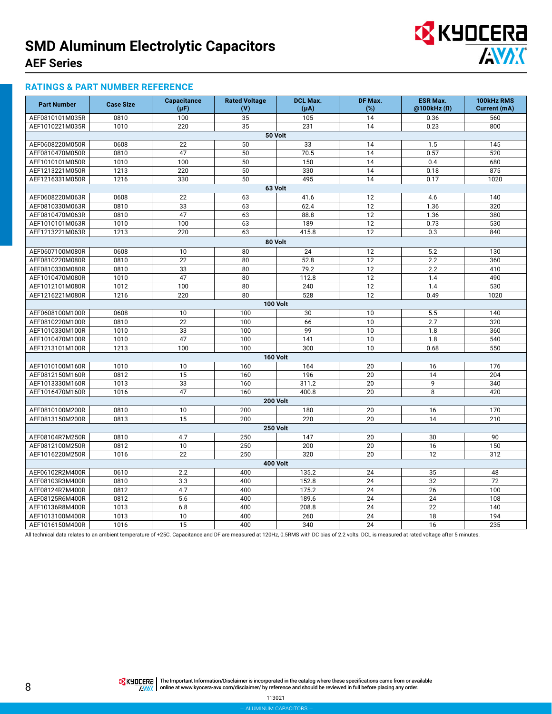

#### **RATINGS & PART NUMBER REFERENCE**

| <b>Part Number</b> | <b>Case Size</b> | <b>Capacitance</b> | <b>Rated Voltage</b> | <b>DCL Max.</b> | DF Max. | <b>ESR Max.</b> | 100kHz RMS   |
|--------------------|------------------|--------------------|----------------------|-----------------|---------|-----------------|--------------|
|                    |                  | $(\mu F)$          | (V)                  | $(\mu A)$       | (%)     | @100kHz(0)      | Current (mA) |
| AEF0810101M035R    | 0810             | 100                | 35                   | 105             | 14      | 0.36            | 560          |
| AEF1010221M035R    | 1010             | 220                | 35                   | 231             | 14      | 0.23            | 800          |
|                    |                  |                    |                      | 50 Volt         |         |                 |              |
| AEF0608220M050R    | 0608             | 22                 | 50                   | 33              | 14      | 1.5             | 145          |
| AEF0810470M050R    | 0810             | 47                 | 50                   | 70.5            | 14      | 0.57            | 520          |
| AEF1010101M050R    | 1010             | 100                | 50                   | 150             | 14      | 0.4             | 680          |
| AEF1213221M050R    | 1213             | 220                | 50                   | 330             | 14      | 0.18            | 875          |
| AEF1216331M050R    | 1216             | 330                | 50                   | 495             | 14      | 0.17            | 1020         |
|                    |                  |                    | 63 Volt              |                 |         |                 |              |
| AEF0608220M063R    | 0608             | 22                 | 63                   | 41.6            | 12      | 4.6             | 140          |
| AEF0810330M063R    | 0810             | 33                 | 63                   | 62.4            | 12      | 1.36            | 320          |
| AEF0810470M063R    | 0810             | 47                 | 63                   | 88.8            | 12      | 1.36            | 380          |
| AEF1010101M063R    | 1010             | 100                | 63                   | 189             | 12      | 0.73            | 530          |
| AEF1213221M063R    | 1213             | 220                | 63                   | 415.8           | 12      | 0.3             | 840          |
|                    |                  |                    | 80 Volt              |                 |         |                 |              |
| AEF0607100M080R    | 0608             | 10                 | 80                   | 24              | 12      | 5.2             | 130          |
| AEF0810220M080R    | 0810             | 22                 | 80                   | 52.8            | 12      | 2.2             | 360          |
| AEF0810330M080R    | 0810             | 33                 | 80                   | 79.2            | 12      | 2.2             | 410          |
| AEF1010470M080R    | 1010             | 47                 | 80                   | 112.8           | 12      | 1.4             | 490          |
| AEF1012101M080R    | 1012             | 100                | 80                   | 240             | 12      | 1.4             | 530          |
| AEF1216221M080R    | 1216             | 220                | 80                   | 528             | 12      | 0.49            | 1020         |
|                    |                  |                    | <b>100 Volt</b>      |                 |         |                 |              |
| AEF0608100M100R    | 0608             | 10                 | 100                  | 30              | 10      | 5.5             | 140          |
| AEF0810220M100R    | 0810             | 22                 | 100                  | 66              | 10      | 2.7             | 320          |
| AEF1010330M100R    | 1010             | 33                 | 100                  | 99              | 10      | 1.8             | 360          |
| AEF1010470M100R    | 1010             | 47                 | 100                  | 141             | 10      | 1.8             | 540          |
| AEF1213101M100R    | 1213             | 100                | 100                  | 300             | 10      | 0.68            | 550          |
|                    |                  |                    | <b>160 Volt</b>      |                 |         |                 |              |
| AEF1010100M160R    | 1010             | 10                 | 160                  | 164             | 20      | 16              | 176          |
| AEF0812150M160R    | 0812             | 15                 | 160                  | 196             | 20      | 14              | 204          |
| AEF1013330M160R    | 1013             | 33                 | 160                  | 311.2           | 20      | 9               | 340          |
| AEF1016470M160R    | 1016             | 47                 | 160                  | 400.8           | 20      | 8               | 420          |
|                    |                  |                    |                      | <b>200 Volt</b> |         |                 |              |
| AEF0810100M200R    | 0810             | 10                 | 200                  | 180             | 20      | 16              | 170          |
| AEF0813150M200R    | 0813             | 15                 | 200                  | 220             | 20      | 14              | 210          |
|                    |                  |                    | <b>250 Volt</b>      |                 |         |                 |              |
| AEF08104R7M250R    | 0810             | 4.7                | 250                  | 147             | 20      | 30              | 90           |
| AEF0812100M250R    | 0812             | $\overline{10}$    | 250                  | 200             | 20      | 16              | 150          |
| AEF1016220M250R    | 1016             | 22                 | 250                  | 320             | 20      | 12              | 312          |
|                    |                  |                    |                      | <b>400 Volt</b> |         |                 |              |
| AEF06102R2M400R    | 0610             | 2.2                | 400                  | 135.2           | 24      | 35              | 48           |
| AEF08103R3M400R    | 0810             | 3.3                | 400                  | 152.8           | 24      | 32              | 72           |
| AEF08124R7M400R    | 0812             | 4.7                | 400                  | 175.2           | 24      | 26              | 100          |
| AEF08125R6M400R    | 0812             | 5.6                | 400                  | 189.6           | 24      | 24              | 108          |
| AEF10136R8M400R    | 1013             | 6.8                | 400                  | 208.8           | 24      | 22              | 140          |
| AEF1013100M400R    | 1013             | 10                 | 400                  | 260             | 24      | 18              | 194          |
| AEF1016150M400R    | 1016             | 15                 | 400                  | 340             | 24      | 16              | 235          |

All technical data relates to an ambient temperature of +25C. Capacitance and DF are measured at 120Hz, 0.5RMS with DC bias of 2.2 volts. DCL is measured at rated voltage after 5 minutes.

**TA KYOCERA** The Important Information/Disclaimer is incorporated in the catalog where these specifications came from or available online at [www.kyocera-avx.com/disclaimer/](http://www.kyocera-avx.com/disclaimer/) by reference and should be reviewed in full before placing any order.

113021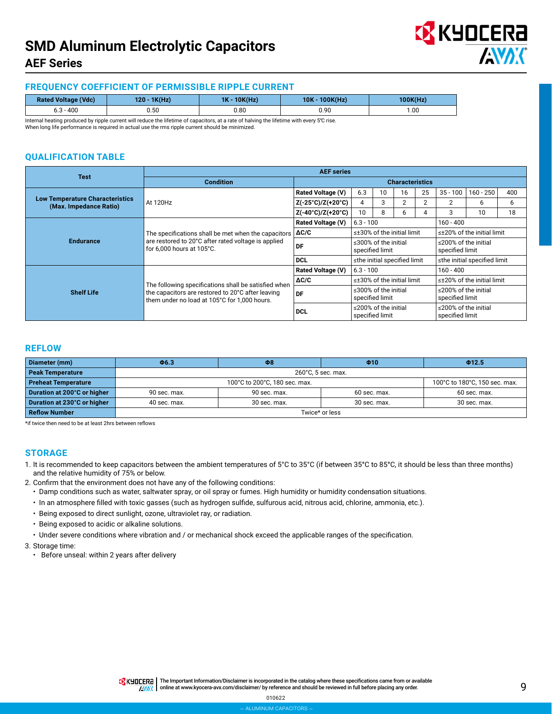

### **FREQUENCY COEFFICIENT OF PERMISSIBLE RIPPLE CURRENT**

| <b>Rated Voltage (Vdc)</b> | 1K(Hz)<br>۱20 - | 10K(Hz)<br>1K | 100K(Hz)<br>10K |            |  |
|----------------------------|-----------------|---------------|-----------------|------------|--|
| $-400$                     | 0.50            | 0.80          | 0.90            | 00. ا<br>. |  |

Internal heating produced by ripple current will reduce the lifetime of capacitors, at a rate of halving the lifetime with every 5℃ rise. When long life performance is required in actual use the rms ripple current should be minimized.

## **QUALIFICATION TABLE**

| <b>Test</b>                                                      | <b>AEF</b> series                                                                                                                       |                                                             |                                               |                                         |    |                                               |                                               |             |     |  |
|------------------------------------------------------------------|-----------------------------------------------------------------------------------------------------------------------------------------|-------------------------------------------------------------|-----------------------------------------------|-----------------------------------------|----|-----------------------------------------------|-----------------------------------------------|-------------|-----|--|
|                                                                  | <b>Condition</b>                                                                                                                        | <b>Characteristics</b>                                      |                                               |                                         |    |                                               |                                               |             |     |  |
|                                                                  |                                                                                                                                         | Rated Voltage (V)                                           | 6.3                                           | 10                                      | 16 | 25                                            | $35 - 100$                                    | $160 - 250$ | 400 |  |
| <b>Low Temperature Characteristics</b><br>(Max. Impedance Ratio) | At 120Hz                                                                                                                                | $Z(-25^{\circ}C)/Z(+20^{\circ}C)$                           | 4                                             | 3                                       |    | $\mathbf{2}$                                  | $\overline{2}$                                | 6           | 6   |  |
|                                                                  |                                                                                                                                         | Z(-40°C)/Z(+20°C)                                           | 10                                            | 8                                       | 6  | 4                                             | 3                                             | 10          | 18  |  |
|                                                                  |                                                                                                                                         | <b>Rated Voltage (V)</b>                                    | $6.3 - 100$                                   |                                         |    |                                               | $160 - 400$                                   |             |     |  |
| <b>Endurance</b>                                                 | The specifications shall be met when the capacitors<br>are restored to 20°C after rated voltage is applied<br>for 6.000 hours at 105°C. | $\Delta C/C$                                                | ≤±30% of the initial limit                    |                                         |    |                                               | $\leq$ ±20% of the initial limit              |             |     |  |
|                                                                  |                                                                                                                                         | DF                                                          | $\leq$ 300% of the initial<br>specified limit |                                         |    |                                               | $\leq$ 200% of the initial<br>specified limit |             |     |  |
|                                                                  |                                                                                                                                         | <b>DCL</b>                                                  | ≤the initial specified limit                  |                                         |    |                                               | ≤the initial specified limit                  |             |     |  |
|                                                                  |                                                                                                                                         | Rated Voltage (V)                                           | $6.3 - 100$                                   |                                         |    |                                               | $160 - 400$                                   |             |     |  |
|                                                                  | The following specifications shall be satisfied when                                                                                    | $\Delta C/C$                                                | $\leq$ ±30% of the initial limit              |                                         |    | $\leq$ ±20% of the initial limit              |                                               |             |     |  |
| <b>Shelf Life</b>                                                | the capacitors are restored to 20°C after leaving<br>them under no load at 105°C for 1,000 hours.                                       | DF                                                          | $\leq$ 300% of the initial<br>specified limit |                                         |    | $\leq$ 200% of the initial<br>specified limit |                                               |             |     |  |
|                                                                  |                                                                                                                                         | $\leq$ 200% of the initial<br><b>DCL</b><br>specified limit |                                               | ≤200% of the initial<br>specified limit |    |                                               |                                               |             |     |  |

#### **REFLOW**

| Diameter (mm)               | $\Phi$ 6.3                                                     | $\Phi$ 8     | $\Phi$ 10    | Φ12.5        |  |  |  |  |  |
|-----------------------------|----------------------------------------------------------------|--------------|--------------|--------------|--|--|--|--|--|
| <b>Peak Temperature</b>     | 260°C, 5 sec. max.                                             |              |              |              |  |  |  |  |  |
| <b>Preheat Temperature</b>  | 100°C to 180°C, 150 sec. max.<br>100°C to 200°C, 180 sec. max. |              |              |              |  |  |  |  |  |
| Duration at 200°C or higher | 90 sec. max.                                                   | 90 sec. max. | 60 sec. max. | 60 sec. max. |  |  |  |  |  |
| Duration at 230°C or higher | 30 sec. max.<br>40 sec. max.<br>30 sec. max.<br>30 sec. max.   |              |              |              |  |  |  |  |  |
| <b>Reflow Number</b>        | Twice* or less                                                 |              |              |              |  |  |  |  |  |

\*if twice then need to be at least 2hrs between reflows

#### **STORAGE**

1. It is recommended to keep capacitors between the ambient temperatures of 5°C to 35°C (if between 35**°**C to 85**°**C, it should be less than three months) and the relative humidity of 75% or below.

2. Confirm that the environment does not have any of the following conditions:

- Damp conditions such as water, saltwater spray, or oil spray or fumes. High humidity or humidity condensation situations.
- In an atmosphere filled with toxic gasses (such as hydrogen sulfide, sulfurous acid, nitrous acid, chlorine, ammonia, etc.).
- Being exposed to direct sunlight, ozone, ultraviolet ray, or radiation.
- Being exposed to acidic or alkaline solutions.

• Under severe conditions where vibration and / or mechanical shock exceed the applicable ranges of the specification.

3. Storage time:

• Before unseal: within 2 years after delivery

TRK HILLERA | The Important Information/Disclaimer is incorporated in the catalog where these specifications came from or available **AWAX** online at [www.kyocera-avx.com/disclaimer/](http://www.kyocera-avx.com/disclaimer/) by reference and should be reviewed in full before placing any order.